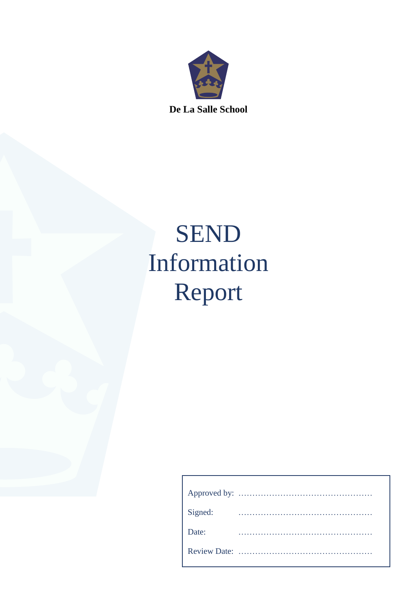

**De La Salle School**

# SEND Information Report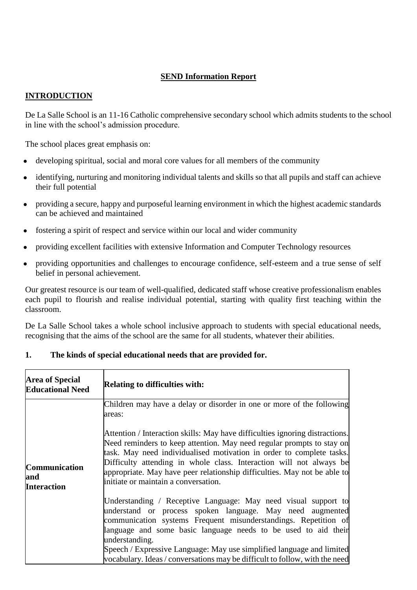# **SEND Information Report**

# **INTRODUCTION**

De La Salle School is an 11-16 Catholic comprehensive secondary school which admits students to the school in line with the school's admission procedure.

The school places great emphasis on:

- developing spiritual, social and moral core values for all members of the community
- identifying, nurturing and monitoring individual talents and skills so that all pupils and staff can achieve their full potential
- providing a secure, happy and purposeful learning environment in which the highest academic standards can be achieved and maintained
- fostering a spirit of respect and service within our local and wider community
- providing excellent facilities with extensive Information and Computer Technology resources
- providing opportunities and challenges to encourage confidence, self-esteem and a true sense of self belief in personal achievement.

Our greatest resource is our team of well-qualified, dedicated staff whose creative professionalism enables each pupil to flourish and realise individual potential, starting with quality first teaching within the classroom.

De La Salle School takes a whole school inclusive approach to students with special educational needs, recognising that the aims of the school are the same for all students, whatever their abilities.

| <b>Area of Special</b><br><b>Educational Need</b> | <b>Relating to difficulties with:</b>                                                                                                                                                                                                                                                                                                                                                                                                      |
|---------------------------------------------------|--------------------------------------------------------------------------------------------------------------------------------------------------------------------------------------------------------------------------------------------------------------------------------------------------------------------------------------------------------------------------------------------------------------------------------------------|
| Communication<br>and<br><b>Interaction</b>        | Children may have a delay or disorder in one or more of the following<br>areas:                                                                                                                                                                                                                                                                                                                                                            |
|                                                   | Attention / Interaction skills: May have difficulties ignoring distractions.<br>Need reminders to keep attention. May need regular prompts to stay on<br>task. May need individualised motivation in order to complete tasks.<br>Difficulty attending in whole class. Interaction will not always be<br>appropriate. May have peer relationship difficulties. May not be able to<br>initiate or maintain a conversation.                   |
|                                                   | Understanding / Receptive Language: May need visual support to<br>understand or process spoken language. May need augmented<br>communication systems Frequent misunderstandings. Repetition of<br>language and some basic language needs to be used to aid their<br>understanding.<br>Speech / Expressive Language: May use simplified language and limited<br>vocabulary. Ideas / conversations may be difficult to follow, with the need |

## **1. The kinds of special educational needs that are provided for.**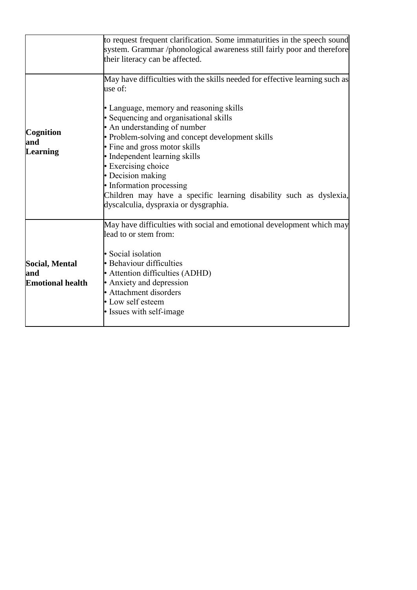|                                                         | to request frequent clarification. Some immaturities in the speech sound<br>system. Grammar /phonological awareness still fairly poor and therefore<br>their literacy can be affected.                                                                                                                                                                                                                                                                                                                                   |
|---------------------------------------------------------|--------------------------------------------------------------------------------------------------------------------------------------------------------------------------------------------------------------------------------------------------------------------------------------------------------------------------------------------------------------------------------------------------------------------------------------------------------------------------------------------------------------------------|
| Cognition<br>and<br>Learning                            | May have difficulties with the skills needed for effective learning such as<br>use of:<br>• Language, memory and reasoning skills<br>• Sequencing and organisational skills<br>• An understanding of number<br>• Problem-solving and concept development skills<br>• Fine and gross motor skills<br>• Independent learning skills<br>• Exercising choice<br>• Decision making<br>• Information processing<br>Children may have a specific learning disability such as dyslexia,<br>dyscalculia, dyspraxia or dysgraphia. |
| <b>Social, Mental</b><br>and<br><b>Emotional health</b> | May have difficulties with social and emotional development which may<br>lead to or stem from:<br>• Social isolation<br>• Behaviour difficulties<br>• Attention difficulties (ADHD)<br>• Anxiety and depression<br>• Attachment disorders<br>• Low self esteem<br>• Issues with self-image                                                                                                                                                                                                                               |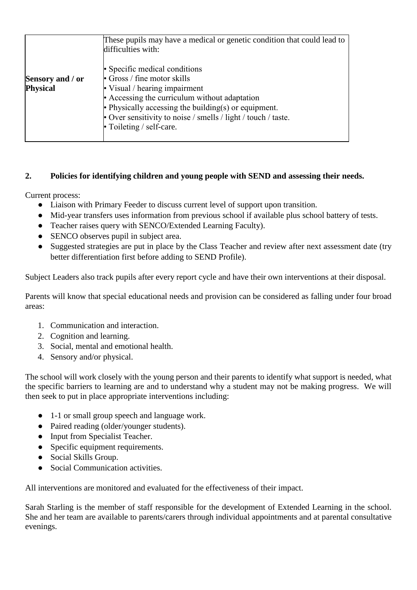|                  | These pupils may have a medical or genetic condition that could lead to<br>difficulties with: |
|------------------|-----------------------------------------------------------------------------------------------|
|                  | • Specific medical conditions                                                                 |
| Sensory and / or | $\cdot$ Gross / fine motor skills                                                             |
| <b>Physical</b>  | • Visual / hearing impairment                                                                 |
|                  | • Accessing the curriculum without adaptation                                                 |
|                  | • Physically accessing the building(s) or equipment.                                          |
|                  | • Over sensitivity to noise / smells / light / touch / taste.                                 |
|                  | $\cdot$ Toileting / self-care.                                                                |
|                  |                                                                                               |

# **2. Policies for identifying children and young people with SEND and assessing their needs.**

Current process:

- Liaison with Primary Feeder to discuss current level of support upon transition.
- Mid-year transfers uses information from previous school if available plus school battery of tests.
- Teacher raises query with SENCO/Extended Learning Faculty).
- SENCO observes pupil in subject area.
- Suggested strategies are put in place by the Class Teacher and review after next assessment date (try better differentiation first before adding to SEND Profile).

Subject Leaders also track pupils after every report cycle and have their own interventions at their disposal.

Parents will know that special educational needs and provision can be considered as falling under four broad areas:

- 1. Communication and interaction.
- 2. Cognition and learning.
- 3. Social, mental and emotional health.
- 4. Sensory and/or physical.

The school will work closely with the young person and their parents to identify what support is needed, what the specific barriers to learning are and to understand why a student may not be making progress. We will then seek to put in place appropriate interventions including:

- 1-1 or small group speech and language work.
- Paired reading (older/younger students).
- Input from Specialist Teacher.
- Specific equipment requirements.
- Social Skills Group.
- Social Communication activities.

All interventions are monitored and evaluated for the effectiveness of their impact.

Sarah Starling is the member of staff responsible for the development of Extended Learning in the school. She and her team are available to parents/carers through individual appointments and at parental consultative evenings.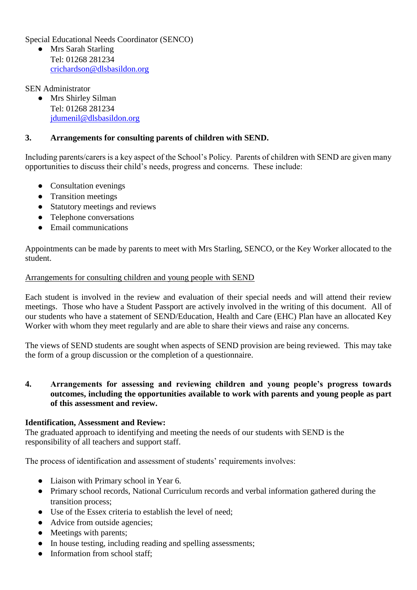Special Educational Needs Coordinator (SENCO)

● Mrs Sarah Starling Tel: 01268 281234 [crichardson@dlsbasildon.org](mailto:crichardson@dlsbasildon.org)

SEN Administrator

● Mrs Shirley Silman Tel: 01268 281234 [jdumenil@dlsbasildon.org](mailto:jdumenil@dlsbasildon.org)

## **3. Arrangements for consulting parents of children with SEND.**

Including parents/carers is a key aspect of the School's Policy. Parents of children with SEND are given many opportunities to discuss their child's needs, progress and concerns. These include:

- Consultation evenings
- Transition meetings
- Statutory meetings and reviews
- Telephone conversations
- Email communications

Appointments can be made by parents to meet with Mrs Starling, SENCO, or the Key Worker allocated to the student.

## Arrangements for consulting children and young people with SEND

Each student is involved in the review and evaluation of their special needs and will attend their review meetings. Those who have a Student Passport are actively involved in the writing of this document. All of our students who have a statement of SEND/Education, Health and Care (EHC) Plan have an allocated Key Worker with whom they meet regularly and are able to share their views and raise any concerns.

The views of SEND students are sought when aspects of SEND provision are being reviewed. This may take the form of a group discussion or the completion of a questionnaire.

## **4. Arrangements for assessing and reviewing children and young people's progress towards outcomes, including the opportunities available to work with parents and young people as part of this assessment and review.**

#### **Identification, Assessment and Review:**

The graduated approach to identifying and meeting the needs of our students with SEND is the responsibility of all teachers and support staff.

The process of identification and assessment of students' requirements involves:

- Liaison with Primary school in Year 6.
- Primary school records, National Curriculum records and verbal information gathered during the transition process;
- Use of the Essex criteria to establish the level of need;
- Advice from outside agencies;
- Meetings with parents;
- In house testing, including reading and spelling assessments;
- Information from school staff;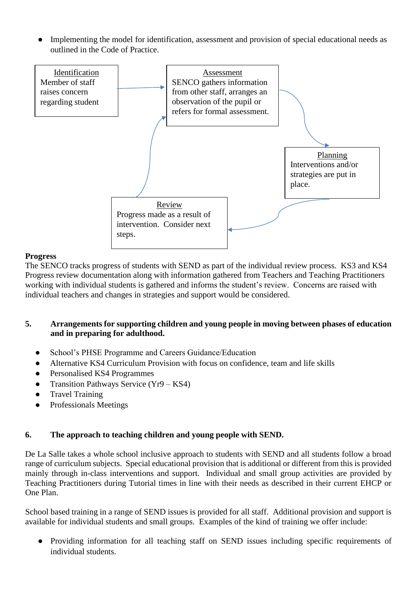Implementing the model for identification, assessment and provision of special educational needs as outlined in the Code of Practice.



## **Progress**

The SENCO tracks progress of students with SEND as part of the individual review process. KS3 and KS4 Progress review documentation along with information gathered from Teachers and Teaching Practitioners working with individual students is gathered and informs the student's review. Concerns are raised with individual teachers and changes in strategies and support would be considered.

## **5. Arrangements for supporting children and young people in moving between phases of education and in preparing for adulthood.**

- School's PHSE Programme and Careers Guidance/Education
- Alternative KS4 Curriculum Provision with focus on confidence, team and life skills
- Personalised KS4 Programmes
- Transition Pathways Service (Yr9 KS4)
- **Travel Training**
- Professionals Meetings

## **6. The approach to teaching children and young people with SEND.**

De La Salle takes a whole school inclusive approach to students with SEND and all students follow a broad range of curriculum subjects. Special educational provision that is additional or different from this is provided mainly through in-class interventions and support. Individual and small group activities are provided by Teaching Practitioners during Tutorial times in line with their needs as described in their current EHCP or One Plan.

School based training in a range of SEND issues is provided for all staff. Additional provision and support is available for individual students and small groups. Examples of the kind of training we offer include:

● Providing information for all teaching staff on SEND issues including specific requirements of individual students.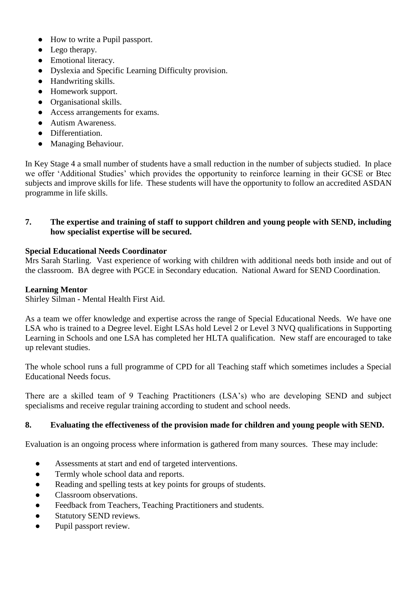- How to write a Pupil passport.
- Lego therapy.
- Emotional literacy.
- Dyslexia and Specific Learning Difficulty provision.
- Handwriting skills.
- Homework support.
- Organisational skills.
- Access arrangements for exams.
- Autism Awareness.
- Differentiation.
- Managing Behaviour.

In Key Stage 4 a small number of students have a small reduction in the number of subjects studied. In place we offer 'Additional Studies' which provides the opportunity to reinforce learning in their GCSE or Btec subjects and improve skills for life. These students will have the opportunity to follow an accredited ASDAN programme in life skills.

## **7. The expertise and training of staff to support children and young people with SEND, including how specialist expertise will be secured.**

## **Special Educational Needs Coordinator**

Mrs Sarah Starling. Vast experience of working with children with additional needs both inside and out of the classroom. BA degree with PGCE in Secondary education. National Award for SEND Coordination.

## **Learning Mentor**

Shirley Silman - Mental Health First Aid.

As a team we offer knowledge and expertise across the range of Special Educational Needs. We have one LSA who is trained to a Degree level. Eight LSAs hold Level 2 or Level 3 NVQ qualifications in Supporting Learning in Schools and one LSA has completed her HLTA qualification. New staff are encouraged to take up relevant studies.

The whole school runs a full programme of CPD for all Teaching staff which sometimes includes a Special Educational Needs focus.

There are a skilled team of 9 Teaching Practitioners (LSA's) who are developing SEND and subject specialisms and receive regular training according to student and school needs.

## **8. Evaluating the effectiveness of the provision made for children and young people with SEND.**

Evaluation is an ongoing process where information is gathered from many sources. These may include:

- Assessments at start and end of targeted interventions.
- Termly whole school data and reports.
- Reading and spelling tests at key points for groups of students.
- Classroom observations.
- Feedback from Teachers, Teaching Practitioners and students.
- Statutory SEND reviews.
- Pupil passport review.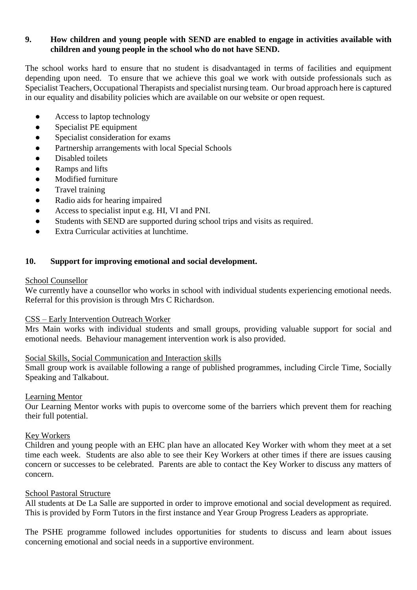## **9. How children and young people with SEND are enabled to engage in activities available with children and young people in the school who do not have SEND.**

The school works hard to ensure that no student is disadvantaged in terms of facilities and equipment depending upon need. To ensure that we achieve this goal we work with outside professionals such as Specialist Teachers, Occupational Therapists and specialist nursing team. Our broad approach here is captured in our equality and disability policies which are available on our website or open request.

- Access to laptop technology
- Specialist PE equipment
- Specialist consideration for exams
- Partnership arrangements with local Special Schools
- Disabled toilets
- Ramps and lifts
- Modified furniture
- Travel training
- Radio aids for hearing impaired
- Access to specialist input e.g. HI, VI and PNI.
- Students with SEND are supported during school trips and visits as required.
- Extra Curricular activities at lunchtime.

## **10. Support for improving emotional and social development.**

#### School Counsellor

We currently have a counsellor who works in school with individual students experiencing emotional needs. Referral for this provision is through Mrs C Richardson.

#### CSS – Early Intervention Outreach Worker

Mrs Main works with individual students and small groups, providing valuable support for social and emotional needs. Behaviour management intervention work is also provided.

## Social Skills, Social Communication and Interaction skills

Small group work is available following a range of published programmes, including Circle Time, Socially Speaking and Talkabout.

## Learning Mentor

Our Learning Mentor works with pupis to overcome some of the barriers which prevent them for reaching their full potential.

#### Key Workers

Children and young people with an EHC plan have an allocated Key Worker with whom they meet at a set time each week. Students are also able to see their Key Workers at other times if there are issues causing concern or successes to be celebrated. Parents are able to contact the Key Worker to discuss any matters of concern.

#### School Pastoral Structure

All students at De La Salle are supported in order to improve emotional and social development as required. This is provided by Form Tutors in the first instance and Year Group Progress Leaders as appropriate.

The PSHE programme followed includes opportunities for students to discuss and learn about issues concerning emotional and social needs in a supportive environment.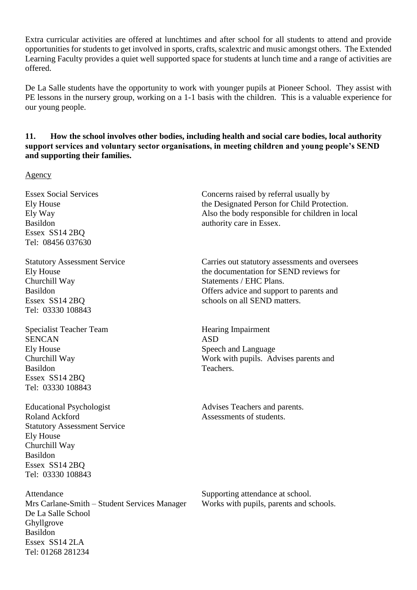Extra curricular activities are offered at lunchtimes and after school for all students to attend and provide opportunities for students to get involved in sports, crafts, scalextric and music amongst others. The Extended Learning Faculty provides a quiet well supported space for students at lunch time and a range of activities are offered.

De La Salle students have the opportunity to work with younger pupils at Pioneer School. They assist with PE lessons in the nursery group, working on a 1-1 basis with the children. This is a valuable experience for our young people.

## **11. How the school involves other bodies, including health and social care bodies, local authority support services and voluntary sector organisations, in meeting children and young people's SEND and supporting their families.**

Agency

Essex SS14 2BQ Tel: 08456 037630

Churchill Way Statements / EHC Plans. Essex SS14 2BO schools on all SEND matters. Tel: 03330 108843

Specialist Teacher Team Hearing Impairment SENCAN ASD Ely House Speech and Language Basildon Teachers. Essex SS14 2BQ Tel: 03330 108843

Roland Ackford **Assessments** of students. Statutory Assessment Service Ely House Churchill Way Basildon Essex SS14 2BQ Tel: 03330 108843

Attendance Supporting attendance at school. Mrs Carlane-Smith – Student Services Manager Works with pupils, parents and schools. De La Salle School Ghyllgrove Basildon Essex SS14 2LA Tel: 01268 281234

Essex Social Services Concerns raised by referral usually by Ely House the Designated Person for Child Protection. Ely Way Also the body responsible for children in local Basildon authority care in Essex.

Statutory Assessment Service Carries out statutory assessments and oversees Ely House the documentation for SEND reviews for Basildon Offers advice and support to parents and

Churchill Way Work with pupils. Advises parents and

Educational Psychologist Advises Teachers and parents.